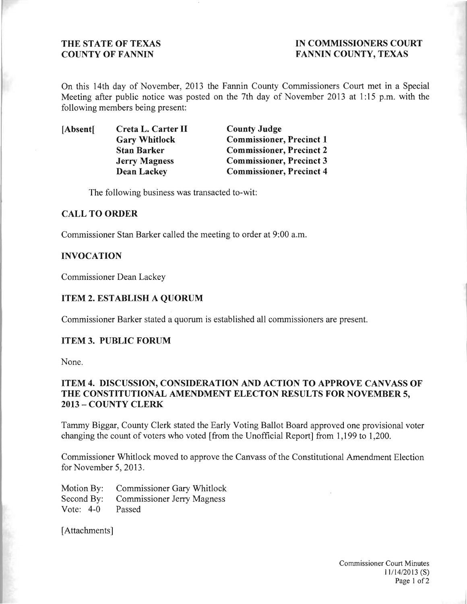# THE STATE OF TEXAS IN COMMISSIONERS COURT COUNTY OF FANNIN FANNIN COUNTY, TEXAS

On this 14th day of November, 2013 the Fannin County Commissioners Court met in a Special Meeting after public notice was posted on the 7th day of November 2013 at 1:15 p.m. with the following members being present:

[Absent] Creta L. Carter II County Judge<br>
Gary Whitlock Commissioner

Commissioner, Precinct 1 Stan Barker Commissioner, Precinct 2 Jerry Magness Commissioner, Precinct 3 Dean Lackey Commissioner, Precinct 4

The following business was transacted to-wit:

## CALL TO ORDER

Commissioner Stan Barker called the meeting to order at 9:00 a.m.

#### INVOCATION

Commissioner Dean Lackey

## ITEM 2. ESTABLISH A QUORUM

Commissioner Barker stated a quorum is established all commissioners are present.

#### ITEM 3. PUBLIC FORUM

None.

# ITEM 4. DISCUSSION, CONSIDERATION AND ACTION TO APPROVE CANVASS OF THE CONSTITUTIONAL AMENDMENT ELECTON RESULTS FOR NOVEMBER 5, 2013 - COUNTY CLERK

Tammy Biggar, County Clerk stated the Early Voting Ballot Board approved one provisional voter changing the count of voters who voted [from the Unofficial Report] from 1,199 to 1,200.

Commissioner Whitlock moved to approve the Canvass of the Constitutional Amendment Election for November 5, 2013.

Motion By: Commissioner Gary Whitlock Second By: Commissioner Jerry Magness Vote: 4-0 Passed

[Attachments]